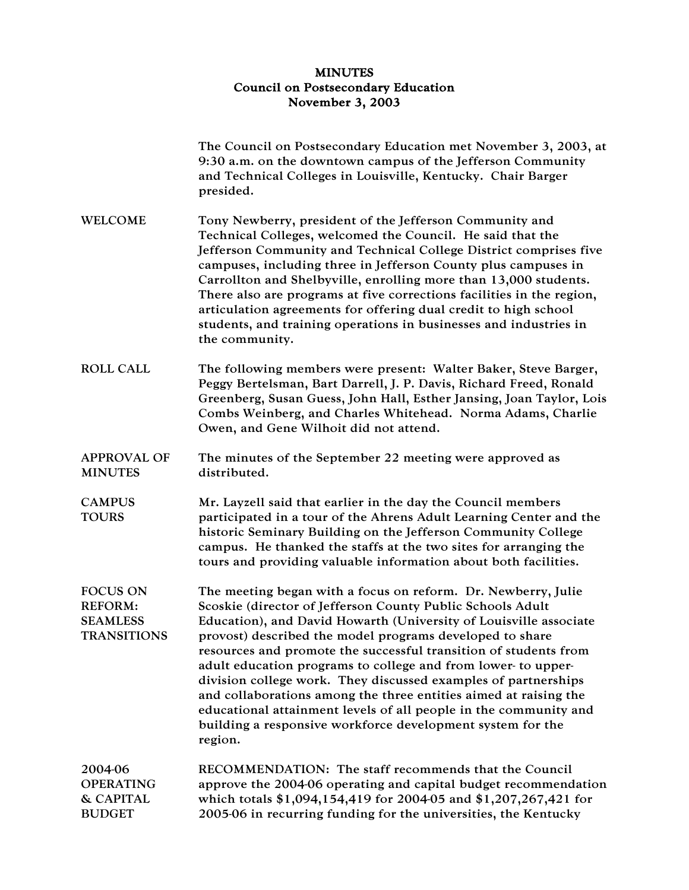## MINUTES Council on Postsecondary Education November 3, 2003

|                                                                            | The Council on Postsecondary Education met November 3, 2003, at<br>9:30 a.m. on the downtown campus of the Jefferson Community<br>and Technical Colleges in Louisville, Kentucky. Chair Barger<br>presided.                                                                                                                                                                                                                                                                                                                                                                                                                                                                          |
|----------------------------------------------------------------------------|--------------------------------------------------------------------------------------------------------------------------------------------------------------------------------------------------------------------------------------------------------------------------------------------------------------------------------------------------------------------------------------------------------------------------------------------------------------------------------------------------------------------------------------------------------------------------------------------------------------------------------------------------------------------------------------|
| <b>WELCOME</b>                                                             | Tony Newberry, president of the Jefferson Community and<br>Technical Colleges, welcomed the Council. He said that the<br>Jefferson Community and Technical College District comprises five<br>campuses, including three in Jefferson County plus campuses in<br>Carrollton and Shelbyville, enrolling more than 13,000 students.<br>There also are programs at five corrections facilities in the region,<br>articulation agreements for offering dual credit to high school<br>students, and training operations in businesses and industries in<br>the community.                                                                                                                  |
| <b>ROLL CALL</b>                                                           | The following members were present: Walter Baker, Steve Barger,<br>Peggy Bertelsman, Bart Darrell, J. P. Davis, Richard Freed, Ronald<br>Greenberg, Susan Guess, John Hall, Esther Jansing, Joan Taylor, Lois<br>Combs Weinberg, and Charles Whitehead. Norma Adams, Charlie<br>Owen, and Gene Wilhoit did not attend.                                                                                                                                                                                                                                                                                                                                                               |
| <b>APPROVAL OF</b><br><b>MINUTES</b>                                       | The minutes of the September 22 meeting were approved as<br>distributed.                                                                                                                                                                                                                                                                                                                                                                                                                                                                                                                                                                                                             |
| <b>CAMPUS</b><br><b>TOURS</b>                                              | Mr. Layzell said that earlier in the day the Council members<br>participated in a tour of the Ahrens Adult Learning Center and the<br>historic Seminary Building on the Jefferson Community College<br>campus. He thanked the staffs at the two sites for arranging the<br>tours and providing valuable information about both facilities.                                                                                                                                                                                                                                                                                                                                           |
| <b>FOCUS ON</b><br><b>REFORM:</b><br><b>SEAMLESS</b><br><b>TRANSITIONS</b> | The meeting began with a focus on reform. Dr. Newberry, Julie<br>Scoskie (director of Jefferson County Public Schools Adult<br>Education), and David Howarth (University of Louisville associate<br>provost) described the model programs developed to share<br>resources and promote the successful transition of students from<br>adult education programs to college and from lower- to upper-<br>division college work. They discussed examples of partnerships<br>and collaborations among the three entities aimed at raising the<br>educational attainment levels of all people in the community and<br>building a responsive workforce development system for the<br>region. |
| 2004-06<br><b>OPERATING</b><br>& CAPITAL<br><b>BUDGET</b>                  | RECOMMENDATION: The staff recommends that the Council<br>approve the 2004-06 operating and capital budget recommendation<br>which totals \$1,094,154,419 for 2004-05 and \$1,207,267,421 for<br>2005-06 in recurring funding for the universities, the Kentucky                                                                                                                                                                                                                                                                                                                                                                                                                      |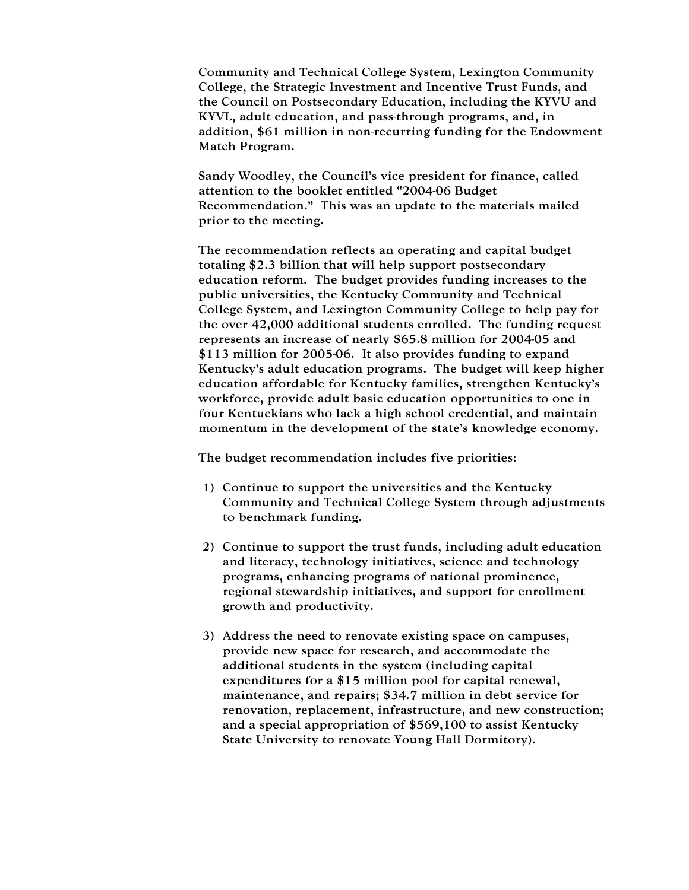Community and Technical College System, Lexington Community College, the Strategic Investment and Incentive Trust Funds, and the Council on Postsecondary Education, including the KYVU and KYVL, adult education, and pass-through programs, and, in addition, \$61 million in non-recurring funding for the Endowment Match Program.

Sandy Woodley, the Council's vice president for finance, called attention to the booklet entitled "2004-06 Budget Recommendation." This was an update to the materials mailed prior to the meeting.

The recommendation reflects an operating and capital budget totaling \$2.3 billion that will help support postsecondary education reform. The budget provides funding increases to the public universities, the Kentucky Community and Technical College System, and Lexington Community College to help pay for the over 42,000 additional students enrolled. The funding request represents an increase of nearly \$65.8 million for 2004-05 and \$113 million for 2005-06. It also provides funding to expand Kentucky's adult education programs. The budget will keep higher education affordable for Kentucky families, strengthen Kentucky's workforce, provide adult basic education opportunities to one in four Kentuckians who lack a high school credential, and maintain momentum in the development of the state's knowledge economy.

The budget recommendation includes five priorities:

- 1) Continue to support the universities and the Kentucky Community and Technical College System through adjustments to benchmark funding.
- 2) Continue to support the trust funds, including adult education and literacy, technology initiatives, science and technology programs, enhancing programs of national prominence, regional stewardship initiatives, and support for enrollment growth and productivity.
- 3) Address the need to renovate existing space on campuses, provide new space for research, and accommodate the additional students in the system (including capital expenditures for a \$15 million pool for capital renewal, maintenance, and repairs; \$34.7 million in debt service for renovation, replacement, infrastructure, and new construction; and a special appropriation of \$569,100 to assist Kentucky State University to renovate Young Hall Dormitory).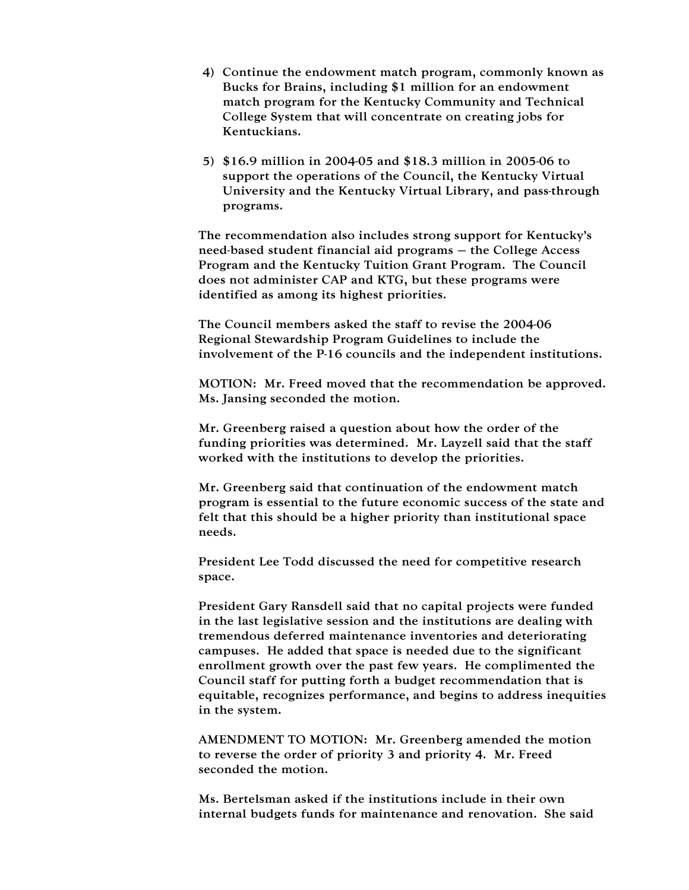- 4) Continue the endowment match program, commonly known as Bucks for Brains, including \$1 million for an endowment match program for the Kentucky Community and Technical College System that will concentrate on creating jobs for Kentuckians.
- 5) \$16.9 million in 2004-05 and \$18.3 million in 2005-06 to support the operations of the Council, the Kentucky Virtual University and the Kentucky Virtual Library, and pass-through programs.

The recommendation also includes strong support for Kentucky's need-based student financial aid programs – the College Access Program and the Kentucky Tuition Grant Program. The Council does not administer CAP and KTG, but these programs were identified as among its highest priorities.

The Council members asked the staff to revise the 2004-06 Regional Stewardship Program Guidelines to include the involvement of the P-16 councils and the independent institutions.

MOTION: Mr. Freed moved that the recommendation be approved. Ms. Jansing seconded the motion.

Mr. Greenberg raised a question about how the order of the funding priorities was determined. Mr. Layzell said that the staff worked with the institutions to develop the priorities.

Mr. Greenberg said that continuation of the endowment match program is essential to the future economic success of the state and felt that this should be a higher priority than institutional space needs.

President Lee Todd discussed the need for competitive research space.

President Gary Ransdell said that no capital projects were funded in the last legislative session and the institutions are dealing with tremendous deferred maintenance inventories and deteriorating campuses. He added that space is needed due to the significant enrollment growth over the past few years. He complimented the Council staff for putting forth a budget recommendation that is equitable, recognizes performance, and begins to address inequities in the system.

AMENDMENT TO MOTION: Mr. Greenberg amended the motion to reverse the order of priority 3 and priority 4. Mr. Freed seconded the motion.

Ms. Bertelsman asked if the institutions include in their own internal budgets funds for maintenance and renovation. She said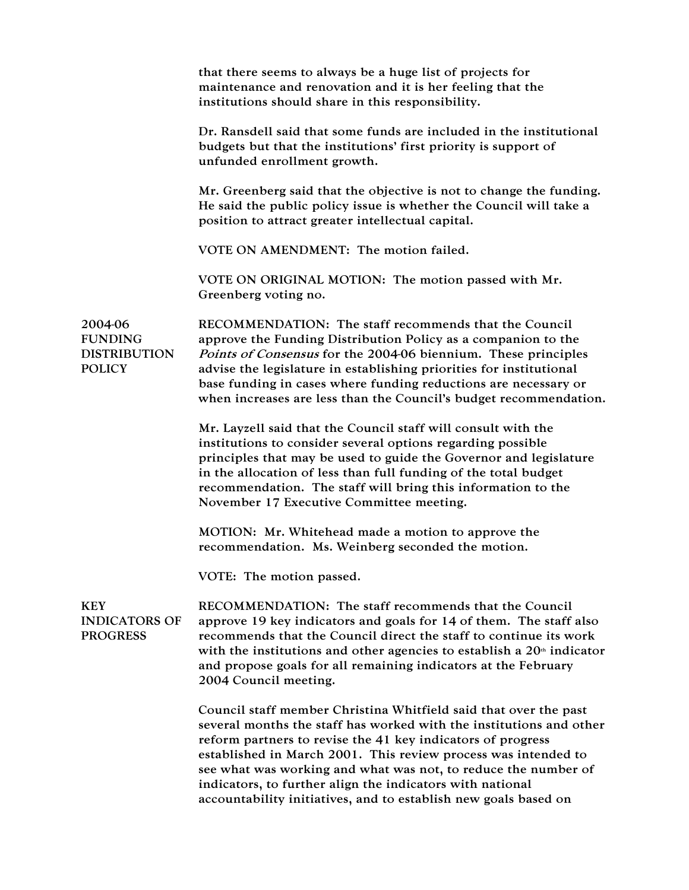|                                                                   | that there seems to always be a huge list of projects for<br>maintenance and renovation and it is her feeling that the<br>institutions should share in this responsibility.                                                                                                                                                                                                                                                                                                |
|-------------------------------------------------------------------|----------------------------------------------------------------------------------------------------------------------------------------------------------------------------------------------------------------------------------------------------------------------------------------------------------------------------------------------------------------------------------------------------------------------------------------------------------------------------|
|                                                                   | Dr. Ransdell said that some funds are included in the institutional<br>budgets but that the institutions' first priority is support of<br>unfunded enrollment growth.                                                                                                                                                                                                                                                                                                      |
|                                                                   | Mr. Greenberg said that the objective is not to change the funding.<br>He said the public policy issue is whether the Council will take a<br>position to attract greater intellectual capital.                                                                                                                                                                                                                                                                             |
|                                                                   | VOTE ON AMENDMENT: The motion failed.                                                                                                                                                                                                                                                                                                                                                                                                                                      |
|                                                                   | VOTE ON ORIGINAL MOTION: The motion passed with Mr.<br>Greenberg voting no.                                                                                                                                                                                                                                                                                                                                                                                                |
| 2004-06<br><b>FUNDING</b><br><b>DISTRIBUTION</b><br><b>POLICY</b> | RECOMMENDATION: The staff recommends that the Council<br>approve the Funding Distribution Policy as a companion to the<br>Points of Consensus for the 2004-06 biennium. These principles<br>advise the legislature in establishing priorities for institutional<br>base funding in cases where funding reductions are necessary or<br>when increases are less than the Council's budget recommendation.                                                                    |
|                                                                   | Mr. Layzell said that the Council staff will consult with the<br>institutions to consider several options regarding possible<br>principles that may be used to guide the Governor and legislature<br>in the allocation of less than full funding of the total budget<br>recommendation. The staff will bring this information to the<br>November 17 Executive Committee meeting.                                                                                           |
|                                                                   | MOTION: Mr. Whitehead made a motion to approve the<br>recommendation. Ms. Weinberg seconded the motion.                                                                                                                                                                                                                                                                                                                                                                    |
|                                                                   | VOTE: The motion passed.                                                                                                                                                                                                                                                                                                                                                                                                                                                   |
| <b>KEY</b><br><b>INDICATORS OF</b><br><b>PROGRESS</b>             | RECOMMENDATION: The staff recommends that the Council<br>approve 19 key indicators and goals for 14 of them. The staff also<br>recommends that the Council direct the staff to continue its work<br>with the institutions and other agencies to establish a $20th$ indicator<br>and propose goals for all remaining indicators at the February<br>2004 Council meeting.                                                                                                    |
|                                                                   | Council staff member Christina Whitfield said that over the past<br>several months the staff has worked with the institutions and other<br>reform partners to revise the 41 key indicators of progress<br>established in March 2001. This review process was intended to<br>see what was working and what was not, to reduce the number of<br>indicators, to further align the indicators with national<br>accountability initiatives, and to establish new goals based on |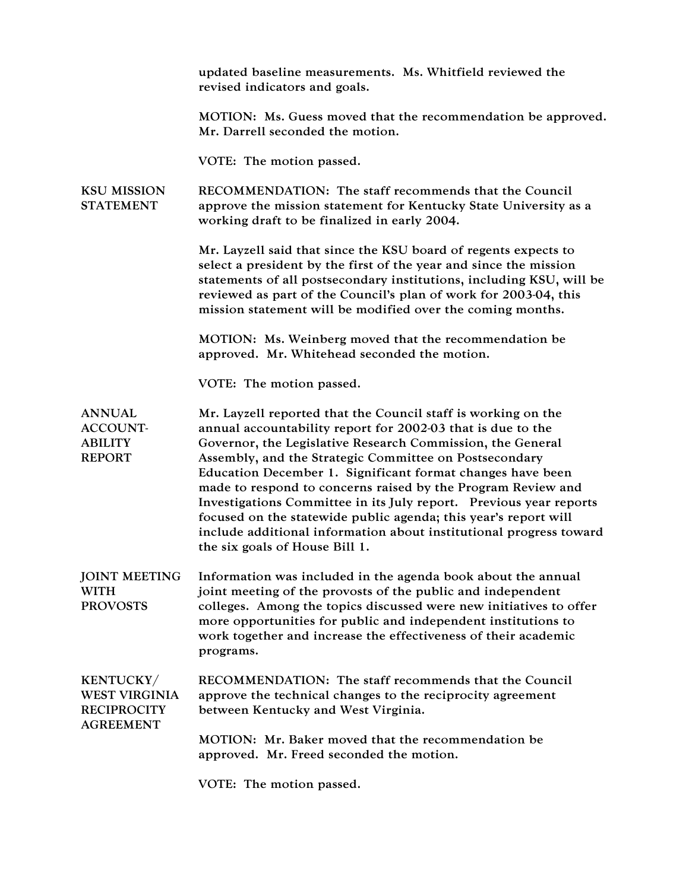|                                                                                    | updated baseline measurements. Ms. Whitfield reviewed the<br>revised indicators and goals.                                                                                                                                                                                                                                                                                                                                                                                                                                                                                                                                          |
|------------------------------------------------------------------------------------|-------------------------------------------------------------------------------------------------------------------------------------------------------------------------------------------------------------------------------------------------------------------------------------------------------------------------------------------------------------------------------------------------------------------------------------------------------------------------------------------------------------------------------------------------------------------------------------------------------------------------------------|
|                                                                                    | MOTION: Ms. Guess moved that the recommendation be approved.<br>Mr. Darrell seconded the motion.                                                                                                                                                                                                                                                                                                                                                                                                                                                                                                                                    |
|                                                                                    | VOTE: The motion passed.                                                                                                                                                                                                                                                                                                                                                                                                                                                                                                                                                                                                            |
| <b>KSU MISSION</b><br><b>STATEMENT</b>                                             | RECOMMENDATION: The staff recommends that the Council<br>approve the mission statement for Kentucky State University as a<br>working draft to be finalized in early 2004.                                                                                                                                                                                                                                                                                                                                                                                                                                                           |
|                                                                                    | Mr. Layzell said that since the KSU board of regents expects to<br>select a president by the first of the year and since the mission<br>statements of all postsecondary institutions, including KSU, will be<br>reviewed as part of the Council's plan of work for 2003-04, this<br>mission statement will be modified over the coming months.                                                                                                                                                                                                                                                                                      |
|                                                                                    | MOTION: Ms. Weinberg moved that the recommendation be<br>approved. Mr. Whitehead seconded the motion.                                                                                                                                                                                                                                                                                                                                                                                                                                                                                                                               |
|                                                                                    | VOTE: The motion passed.                                                                                                                                                                                                                                                                                                                                                                                                                                                                                                                                                                                                            |
| <b>ANNUAL</b><br><b>ACCOUNT-</b><br><b>ABILITY</b><br><b>REPORT</b>                | Mr. Layzell reported that the Council staff is working on the<br>annual accountability report for 2002-03 that is due to the<br>Governor, the Legislative Research Commission, the General<br>Assembly, and the Strategic Committee on Postsecondary<br>Education December 1. Significant format changes have been<br>made to respond to concerns raised by the Program Review and<br>Investigations Committee in its July report. Previous year reports<br>focused on the statewide public agenda; this year's report will<br>include additional information about institutional progress toward<br>the six goals of House Bill 1. |
| <b>JOINT MEETING</b><br><b>WITH</b><br><b>PROVOSTS</b>                             | Information was included in the agenda book about the annual<br>joint meeting of the provosts of the public and independent<br>colleges. Among the topics discussed were new initiatives to offer<br>more opportunities for public and independent institutions to<br>work together and increase the effectiveness of their academic<br>programs.                                                                                                                                                                                                                                                                                   |
| <b>KENTUCKY/</b><br><b>WEST VIRGINIA</b><br><b>RECIPROCITY</b><br><b>AGREEMENT</b> | RECOMMENDATION: The staff recommends that the Council<br>approve the technical changes to the reciprocity agreement<br>between Kentucky and West Virginia.                                                                                                                                                                                                                                                                                                                                                                                                                                                                          |
|                                                                                    | MOTION: Mr. Baker moved that the recommendation be<br>approved. Mr. Freed seconded the motion.                                                                                                                                                                                                                                                                                                                                                                                                                                                                                                                                      |
|                                                                                    | VOTE: The motion passed.                                                                                                                                                                                                                                                                                                                                                                                                                                                                                                                                                                                                            |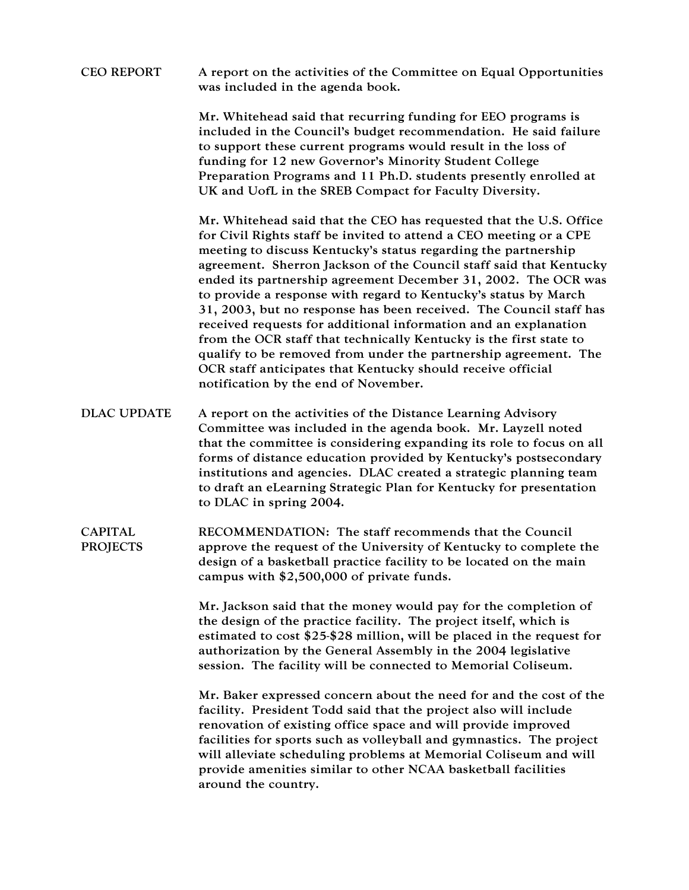## CEO REPORT A report on the activities of the Committee on Equal Opportunities was included in the agenda book.

Mr. Whitehead said that recurring funding for EEO programs is included in the Council's budget recommendation. He said failure to support these current programs would result in the loss of funding for 12 new Governor's Minority Student College Preparation Programs and 11 Ph.D. students presently enrolled at UK and UofL in the SREB Compact for Faculty Diversity.

Mr. Whitehead said that the CEO has requested that the U.S. Office for Civil Rights staff be invited to attend a CEO meeting or a CPE meeting to discuss Kentucky's status regarding the partnership agreement. Sherron Jackson of the Council staff said that Kentucky ended its partnership agreement December 31, 2002. The OCR was to provide a response with regard to Kentucky's status by March 31, 2003, but no response has been received. The Council staff has received requests for additional information and an explanation from the OCR staff that technically Kentucky is the first state to qualify to be removed from under the partnership agreement. The OCR staff anticipates that Kentucky should receive official notification by the end of November.

- DLAC UPDATE A report on the activities of the Distance Learning Advisory Committee was included in the agenda book. Mr. Layzell noted that the committee is considering expanding its role to focus on all forms of distance education provided by Kentucky's postsecondary institutions and agencies. DLAC created a strategic planning team to draft an eLearning Strategic Plan for Kentucky for presentation to DLAC in spring 2004.
- CAPITAL PROJECTS RECOMMENDATION: The staff recommends that the Council approve the request of the University of Kentucky to complete the design of a basketball practice facility to be located on the main campus with \$2,500,000 of private funds.

Mr. Jackson said that the money would pay for the completion of the design of the practice facility. The project itself, which is estimated to cost \$25-\$28 million, will be placed in the request for authorization by the General Assembly in the 2004 legislative session. The facility will be connected to Memorial Coliseum.

Mr. Baker expressed concern about the need for and the cost of the facility. President Todd said that the project also will include renovation of existing office space and will provide improved facilities for sports such as volleyball and gymnastics. The project will alleviate scheduling problems at Memorial Coliseum and will provide amenities similar to other NCAA basketball facilities around the country.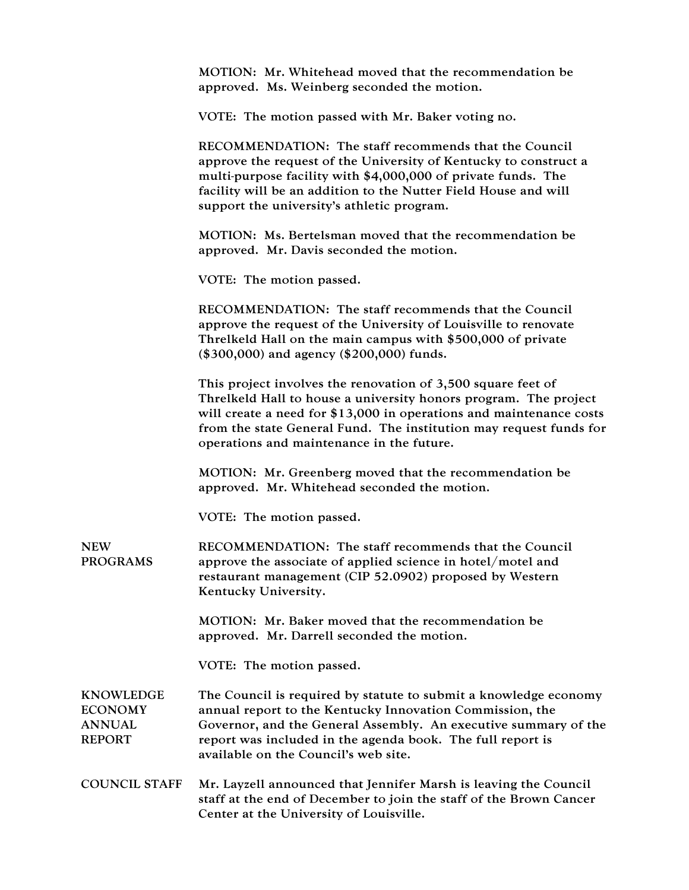| MOTION: Mr. Whitehead moved that the recommendation be |
|--------------------------------------------------------|
| approved. Ms. Weinberg seconded the motion.            |

VOTE: The motion passed with Mr. Baker voting no.

RECOMMENDATION: The staff recommends that the Council approve the request of the University of Kentucky to construct a multi-purpose facility with \$4,000,000 of private funds. The facility will be an addition to the Nutter Field House and will support the university's athletic program.

MOTION: Ms. Bertelsman moved that the recommendation be approved. Mr. Davis seconded the motion.

VOTE: The motion passed.

RECOMMENDATION: The staff recommends that the Council approve the request of the University of Louisville to renovate Threlkeld Hall on the main campus with \$500,000 of private (\$300,000) and agency (\$200,000) funds.

This project involves the renovation of 3,500 square feet of Threlkeld Hall to house a university honors program. The project will create a need for \$13,000 in operations and maintenance costs from the state General Fund. The institution may request funds for operations and maintenance in the future.

MOTION: Mr. Greenberg moved that the recommendation be approved. Mr. Whitehead seconded the motion.

VOTE: The motion passed.

**NEW** PROGRAMS RECOMMENDATION: The staff recommends that the Council approve the associate of applied science in hotel/motel and restaurant management (CIP 52.0902) proposed by Western Kentucky University.

> MOTION: Mr. Baker moved that the recommendation be approved. Mr. Darrell seconded the motion.

VOTE: The motion passed.

KNOWLEDGE ECONOMY ANNUAL REPORT The Council is required by statute to submit a knowledge economy annual report to the Kentucky Innovation Commission, the Governor, and the General Assembly. An executive summary of the report was included in the agenda book. The full report is available on the Council's web site.

COUNCIL STAFF Mr. Layzell announced that Jennifer Marsh is leaving the Council staff at the end of December to join the staff of the Brown Cancer Center at the University of Louisville.